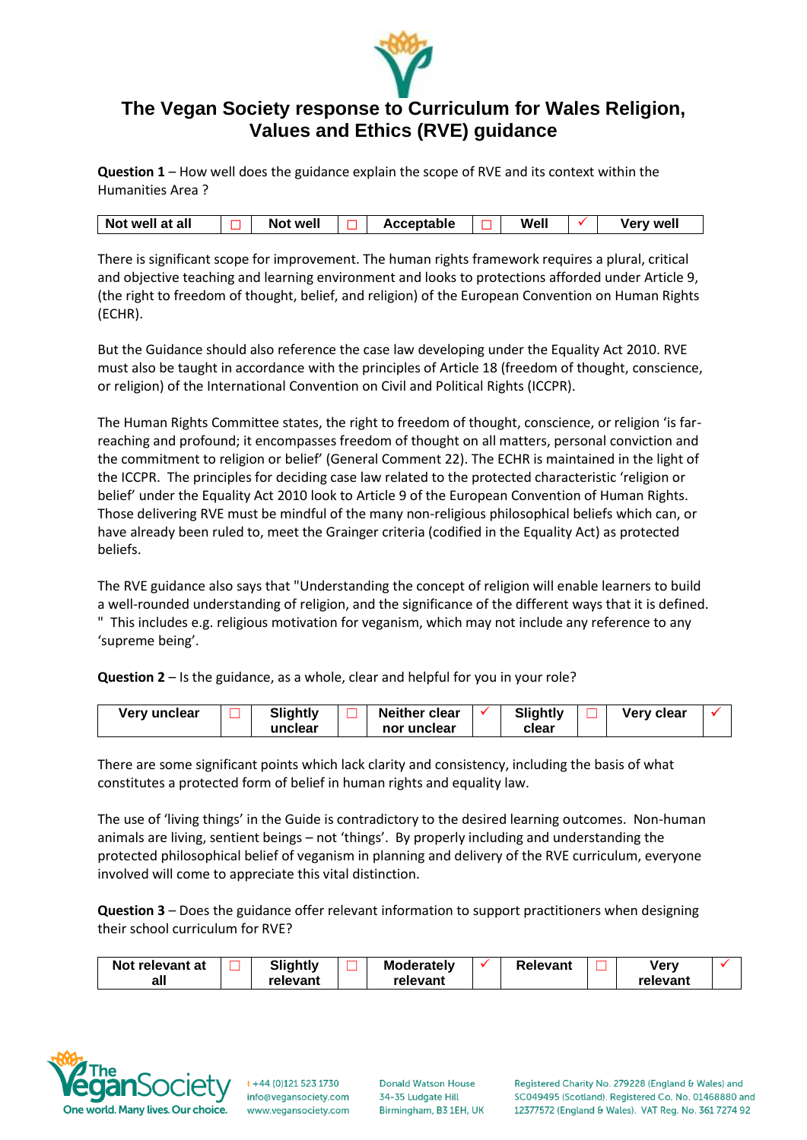

# **The Vegan Society response to Curriculum for Wales Religion, Values and Ethics (RVE) guidance**

**Question 1** – How well does the guidance explain the scope of RVE and its context within the Humanities Area ?

| Not well at all |  | Not well |  | Acceptable |  | Well |  | <b>Very well</b> |
|-----------------|--|----------|--|------------|--|------|--|------------------|
|-----------------|--|----------|--|------------|--|------|--|------------------|

There is significant scope for improvement. The human rights framework requires a plural, critical and objective teaching and learning environment and looks to protections afforded under Article 9, (the right to freedom of thought, belief, and religion) of the European Convention on Human Rights (ECHR).

But the Guidance should also reference the case law developing under the Equality Act 2010. RVE must also be taught in accordance with the principles of Article 18 (freedom of thought, conscience, or religion) of the International Convention on Civil and Political Rights (ICCPR).

The Human Rights Committee states, the right to freedom of thought, conscience, or religion 'is farreaching and profound; it encompasses freedom of thought on all matters, personal conviction and the commitment to religion or belief' (General Comment 22). The ECHR is maintained in the light of the ICCPR. The principles for deciding case law related to the protected characteristic 'religion or belief' under the Equality Act 2010 look to Article 9 of the European Convention of Human Rights. Those delivering RVE must be mindful of the many non-religious philosophical beliefs which can, or have already been ruled to, meet the Grainger criteria (codified in the Equality Act) as protected beliefs.

The RVE guidance also says that "Understanding the concept of religion will enable learners to build a well-rounded understanding of religion, and the significance of the different ways that it is defined. " This includes e.g. religious motivation for veganism, which may not include any reference to any 'supreme being'.

**Question 2** – Is the guidance, as a whole, clear and helpful for you in your role?

| Very unclear | <b>Slightly</b> | <b>Neither clear</b> | Slightly | Very clear |  |
|--------------|-----------------|----------------------|----------|------------|--|
|              | unclear         | nor unclear          | clear    |            |  |

There are some significant points which lack clarity and consistency, including the basis of what constitutes a protected form of belief in human rights and equality law.

The use of 'living things' in the Guide is contradictory to the desired learning outcomes. Non-human animals are living, sentient beings – not 'things'. By properly including and understanding the protected philosophical belief of veganism in planning and delivery of the RVE curriculum, everyone involved will come to appreciate this vital distinction.

**Question 3** – Does the guidance offer relevant information to support practitioners when designing their school curriculum for RVE?

| Not relevant at | <b>Slightly</b> | <b>Moderately</b> | Relevant | verv     |  |
|-----------------|-----------------|-------------------|----------|----------|--|
| all             | relevant        | relevant          |          | relevant |  |



 $t + 44 (0)121 523 1730$ info@vegansociety.com www.vegansociety.com

**Donald Watson House** 34-35 Ludgate Hill Birmingham, B3 1EH, UK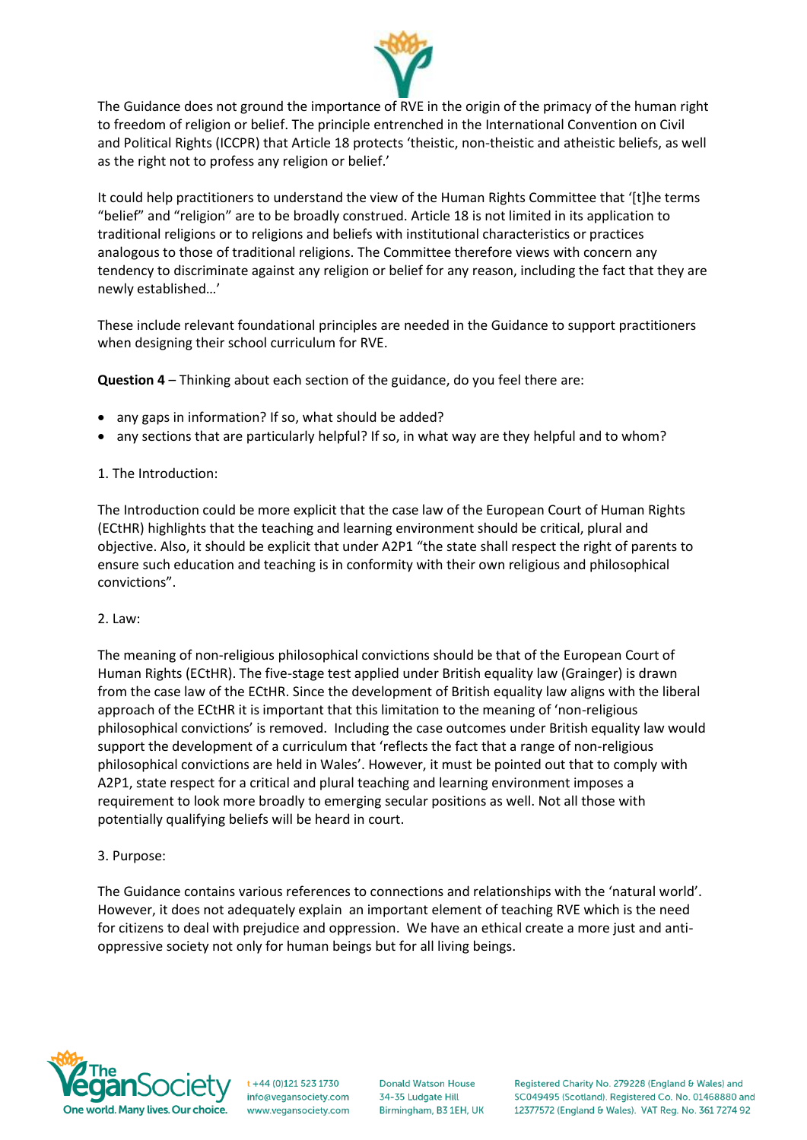

The Guidance does not ground the importance of RVE in the origin of the primacy of the human right to freedom of religion or belief. The principle entrenched in the International Convention on Civil and Political Rights (ICCPR) that Article 18 protects 'theistic, non-theistic and atheistic beliefs, as well as the right not to profess any religion or belief.'

It could help practitioners to understand the view of the Human Rights Committee that '[t]he terms "belief" and "religion" are to be broadly construed. Article 18 is not limited in its application to traditional religions or to religions and beliefs with institutional characteristics or practices analogous to those of traditional religions. The Committee therefore views with concern any tendency to discriminate against any religion or belief for any reason, including the fact that they are newly established…'

These include relevant foundational principles are needed in the Guidance to support practitioners when designing their school curriculum for RVE.

**Question 4** – Thinking about each section of the guidance, do you feel there are:

- any gaps in information? If so, what should be added?
- any sections that are particularly helpful? If so, in what way are they helpful and to whom?
- 1. The Introduction:

The Introduction could be more explicit that the case law of the European Court of Human Rights (ECtHR) highlights that the teaching and learning environment should be critical, plural and objective. Also, it should be explicit that under A2P1 "the state shall respect the right of parents to ensure such education and teaching is in conformity with their own religious and philosophical convictions".

## 2. Law:

The meaning of non-religious philosophical convictions should be that of the European Court of Human Rights (ECtHR). The five-stage test applied under British equality law (Grainger) is drawn from the case law of the ECtHR. Since the development of British equality law aligns with the liberal approach of the ECtHR it is important that this limitation to the meaning of 'non-religious philosophical convictions' is removed. Including the case outcomes under British equality law would support the development of a curriculum that 'reflects the fact that a range of non-religious philosophical convictions are held in Wales'. However, it must be pointed out that to comply with A2P1, state respect for a critical and plural teaching and learning environment imposes a requirement to look more broadly to emerging secular positions as well. Not all those with potentially qualifying beliefs will be heard in court.

## 3. Purpose:

The Guidance contains various references to connections and relationships with the 'natural world'. However, it does not adequately explain an important element of teaching RVE which is the need for citizens to deal with prejudice and oppression. We have an ethical create a more just and antioppressive society not only for human beings but for all living beings.



 $t + 44 (0)121 523 1730$ info@vegansociety.com www.vegansociety.com **Donald Watson House** 34-35 Ludgate Hill Birmingham, B3 1EH, UK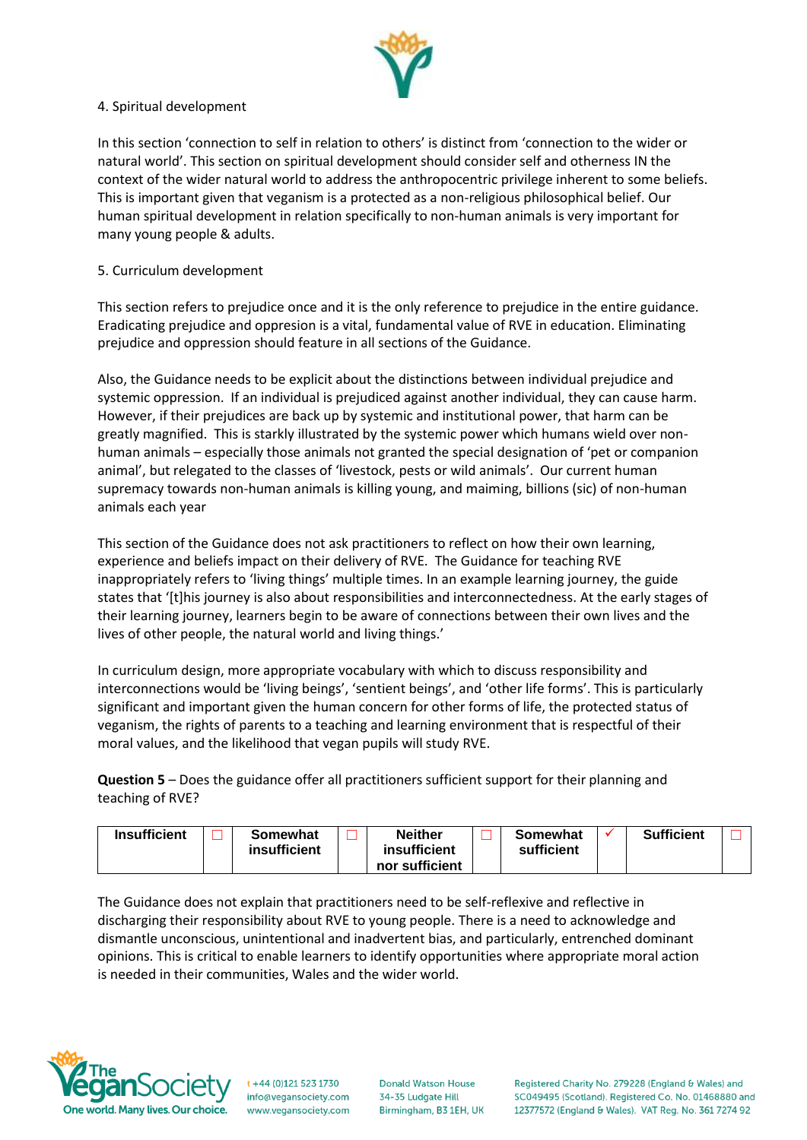

### 4. Spiritual development

In this section 'connection to self in relation to others' is distinct from 'connection to the wider or natural world'. This section on spiritual development should consider self and otherness IN the context of the wider natural world to address the anthropocentric privilege inherent to some beliefs. This is important given that veganism is a protected as a non-religious philosophical belief. Our human spiritual development in relation specifically to non-human animals is very important for many young people & adults.

## 5. Curriculum development

This section refers to prejudice once and it is the only reference to prejudice in the entire guidance. Eradicating prejudice and oppresion is a vital, fundamental value of RVE in education. Eliminating prejudice and oppression should feature in all sections of the Guidance.

Also, the Guidance needs to be explicit about the distinctions between individual prejudice and systemic oppression. If an individual is prejudiced against another individual, they can cause harm. However, if their prejudices are back up by systemic and institutional power, that harm can be greatly magnified. This is starkly illustrated by the systemic power which humans wield over nonhuman animals – especially those animals not granted the special designation of 'pet or companion animal', but relegated to the classes of 'livestock, pests or wild animals'. Our current human supremacy towards non-human animals is killing young, and maiming, billions (sic) of non-human animals each year

This section of the Guidance does not ask practitioners to reflect on how their own learning, experience and beliefs impact on their delivery of RVE. The Guidance for teaching RVE inappropriately refers to 'living things' multiple times. In an example learning journey, the guide states that '[t]his journey is also about responsibilities and interconnectedness. At the early stages of their learning journey, learners begin to be aware of connections between their own lives and the lives of other people, the natural world and living things.'

In curriculum design, more appropriate vocabulary with which to discuss responsibility and interconnections would be 'living beings', 'sentient beings', and 'other life forms'. This is particularly significant and important given the human concern for other forms of life, the protected status of veganism, the rights of parents to a teaching and learning environment that is respectful of their moral values, and the likelihood that vegan pupils will study RVE.

**Question 5** – Does the guidance offer all practitioners sufficient support for their planning and teaching of RVE?

| <b>Insufficient</b> |  | Somewhat<br><b>insufficient</b> |  | <b>Neither</b><br>insufficient<br>nor sufficient |  | Somewhat<br>sufficient |  | <b>Sufficient</b> |  |
|---------------------|--|---------------------------------|--|--------------------------------------------------|--|------------------------|--|-------------------|--|
|---------------------|--|---------------------------------|--|--------------------------------------------------|--|------------------------|--|-------------------|--|

The Guidance does not explain that practitioners need to be self-reflexive and reflective in discharging their responsibility about RVE to young people. There is a need to acknowledge and dismantle unconscious, unintentional and inadvertent bias, and particularly, entrenched dominant opinions. This is critical to enable learners to identify opportunities where appropriate moral action is needed in their communities, Wales and the wider world.



 $t + 44 (0)121 523 1730$ info@vegansociety.com www.vegansociety.com **Donald Watson House** 34-35 Ludgate Hill Birmingham, B3 1EH, UK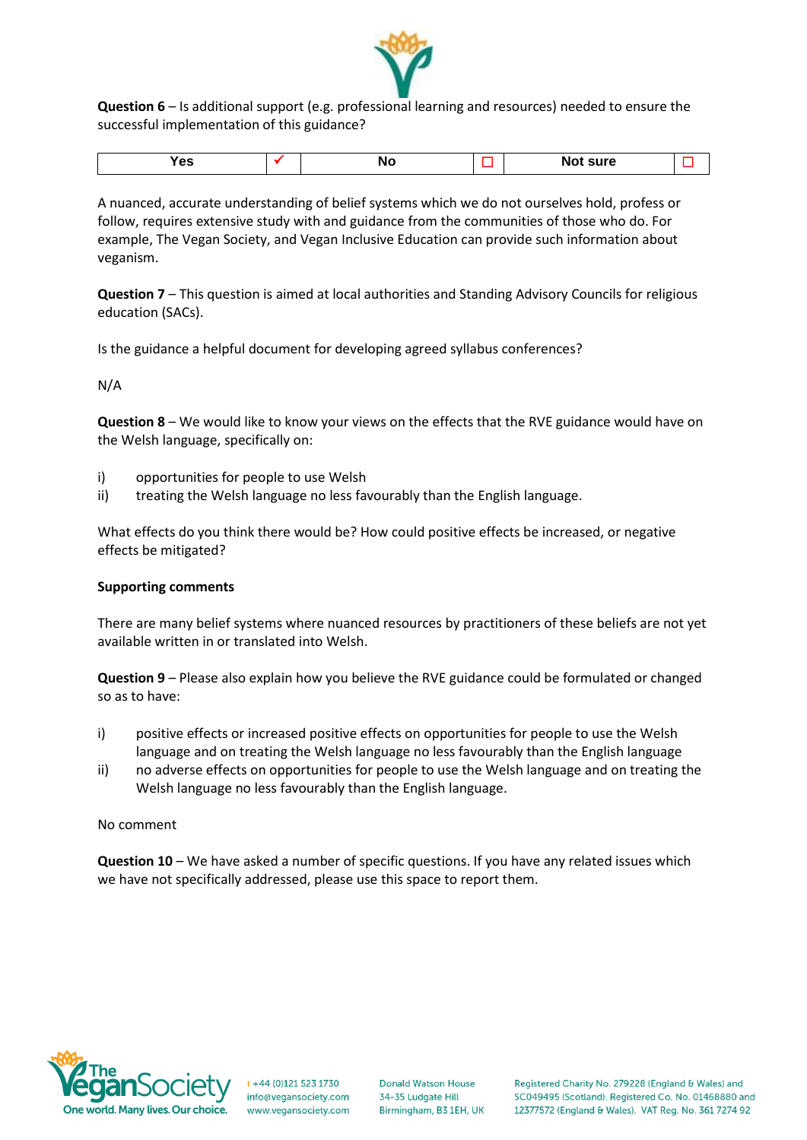

**Question 6** – Is additional support (e.g. professional learning and resources) needed to ensure the successful implementation of this guidance?

| $ -$<br>$\sim$<br>. |  |  |  |  | --- |  |
|---------------------|--|--|--|--|-----|--|
|---------------------|--|--|--|--|-----|--|

A nuanced, accurate understanding of belief systems which we do not ourselves hold, profess or follow, requires extensive study with and guidance from the communities of those who do. For example, The Vegan Society, and Vegan Inclusive Education can provide such information about veganism.

**Question 7** – This question is aimed at local authorities and Standing Advisory Councils for religious education (SACs).

Is the guidance a helpful document for developing agreed syllabus conferences?

N/A

**Question 8** – We would like to know your views on the effects that the RVE guidance would have on the Welsh language, specifically on:

- i) opportunities for people to use Welsh
- ii) treating the Welsh language no less favourably than the English language.

What effects do you think there would be? How could positive effects be increased, or negative effects be mitigated?

#### **Supporting comments**

There are many belief systems where nuanced resources by practitioners of these beliefs are not yet available written in or translated into Welsh.

**Question 9** – Please also explain how you believe the RVE guidance could be formulated or changed so as to have:

- i) positive effects or increased positive effects on opportunities for people to use the Welsh language and on treating the Welsh language no less favourably than the English language
- ii) no adverse effects on opportunities for people to use the Welsh language and on treating the Welsh language no less favourably than the English language.

No comment

**Question 10** – We have asked a number of specific questions. If you have any related issues which we have not specifically addressed, please use this space to report them.



 $t + 44 (0)121 523 1730$ info@vegansociety.com www.vegansociety.com **Donald Watson House** 34-35 Ludgate Hill Birmingham, B3 1EH, UK